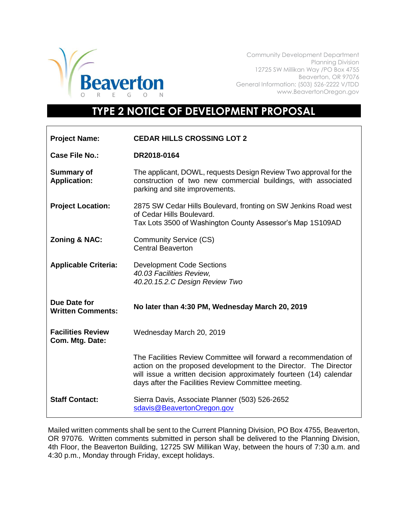

Community Development Department Planning Division 12725 SW Millikan Way /PO Box 4755 Beaverton, OR 97076 General Information: (503) 526-2222 V/TDD www.BeavertonOregon.gov

## **TYPE 2 NOTICE OF DEVELOPMENT PROPOSAL**

| <b>Project Name:</b>                        | <b>CEDAR HILLS CROSSING LOT 2</b>                                                                                                                                                                                                                                 |
|---------------------------------------------|-------------------------------------------------------------------------------------------------------------------------------------------------------------------------------------------------------------------------------------------------------------------|
| Case File No.:                              | DR2018-0164                                                                                                                                                                                                                                                       |
| <b>Summary of</b><br><b>Application:</b>    | The applicant, DOWL, requests Design Review Two approval for the<br>construction of two new commercial buildings, with associated<br>parking and site improvements.                                                                                               |
| <b>Project Location:</b>                    | 2875 SW Cedar Hills Boulevard, fronting on SW Jenkins Road west<br>of Cedar Hills Boulevard.<br>Tax Lots 3500 of Washington County Assessor's Map 1S109AD                                                                                                         |
| Zoning & NAC:                               | <b>Community Service (CS)</b><br><b>Central Beaverton</b>                                                                                                                                                                                                         |
| <b>Applicable Criteria:</b>                 | <b>Development Code Sections</b><br>40.03 Facilities Review,<br>40.20.15.2.C Design Review Two                                                                                                                                                                    |
| Due Date for<br><b>Written Comments:</b>    | No later than 4:30 PM, Wednesday March 20, 2019                                                                                                                                                                                                                   |
| <b>Facilities Review</b><br>Com. Mtg. Date: | Wednesday March 20, 2019                                                                                                                                                                                                                                          |
|                                             | The Facilities Review Committee will forward a recommendation of<br>action on the proposed development to the Director. The Director<br>will issue a written decision approximately fourteen (14) calendar<br>days after the Facilities Review Committee meeting. |
| <b>Staff Contact:</b>                       | Sierra Davis, Associate Planner (503) 526-2652<br>sdavis@BeavertonOregon.gov                                                                                                                                                                                      |

Mailed written comments shall be sent to the Current Planning Division, PO Box 4755, Beaverton, OR 97076. Written comments submitted in person shall be delivered to the Planning Division, 4th Floor, the Beaverton Building, 12725 SW Millikan Way, between the hours of 7:30 a.m. and 4:30 p.m., Monday through Friday, except holidays.